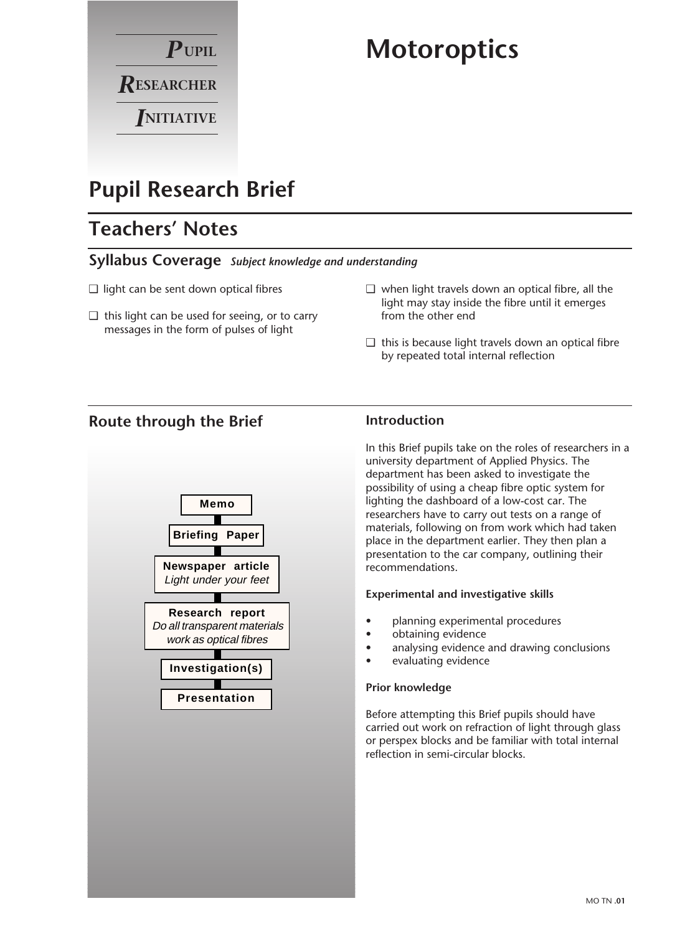

# **Motoroptics**

# **Pupil Research Brief**

# **Teachers' Notes**

### **Syllabus Coverage** *Subject knowledge and understanding*

- ❑ light can be sent down optical fibres
- $\Box$  this light can be used for seeing, or to carry messages in the form of pulses of light
- ❑ when light travels down an optical fibre, all the light may stay inside the fibre until it emerges from the other end
- ❑ this is because light travels down an optical fibre by repeated total internal reflection

### **Route through the Brief**



### **Introduction**

In this Brief pupils take on the roles of researchers in a university department of Applied Physics. The department has been asked to investigate the possibility of using a cheap fibre optic system for lighting the dashboard of a low-cost car. The researchers have to carry out tests on a range of materials, following on from work which had taken place in the department earlier. They then plan a presentation to the car company, outlining their recommendations.

#### **Experimental and investigative skills**

- planning experimental procedures
- obtaining evidence
- analysing evidence and drawing conclusions
- evaluating evidence

#### **Prior knowledge**

Before attempting this Brief pupils should have carried out work on refraction of light through glass or perspex blocks and be familiar with total internal reflection in semi-circular blocks.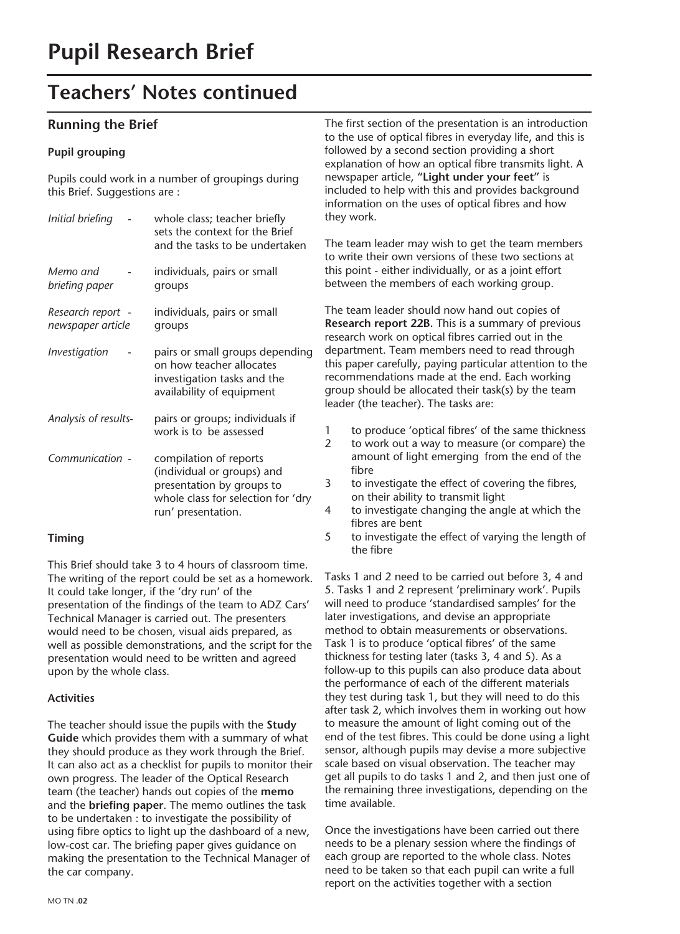## **Teachers' Notes continued**

### **Running the Brief**

#### **Pupil grouping**

Pupils could work in a number of groupings during this Brief. Suggestions are :

| Memo and<br>individuals, pairs or small<br>briefing paper<br>groups<br>individuals, pairs or small<br>Research report -<br>newspaper article<br>groups<br>Investigation<br>on how teacher allocates<br>investigation tasks and the<br>availability of equipment<br>pairs or groups; individuals if<br>Analysis of results-<br>work is to be assessed<br>Communication -<br>compilation of reports<br>(individual or groups) and<br>presentation by groups to<br>run' presentation. | Initial briefing | whole class; teacher briefly<br>sets the context for the Brief<br>and the tasks to be undertaken |
|------------------------------------------------------------------------------------------------------------------------------------------------------------------------------------------------------------------------------------------------------------------------------------------------------------------------------------------------------------------------------------------------------------------------------------------------------------------------------------|------------------|--------------------------------------------------------------------------------------------------|
|                                                                                                                                                                                                                                                                                                                                                                                                                                                                                    |                  |                                                                                                  |
|                                                                                                                                                                                                                                                                                                                                                                                                                                                                                    |                  |                                                                                                  |
|                                                                                                                                                                                                                                                                                                                                                                                                                                                                                    |                  | pairs or small groups depending                                                                  |
|                                                                                                                                                                                                                                                                                                                                                                                                                                                                                    |                  |                                                                                                  |
|                                                                                                                                                                                                                                                                                                                                                                                                                                                                                    |                  | whole class for selection for 'dry                                                               |

#### **Timing**

This Brief should take 3 to 4 hours of classroom time. The writing of the report could be set as a homework. It could take longer, if the 'dry run' of the presentation of the findings of the team to ADZ Cars' Technical Manager is carried out. The presenters would need to be chosen, visual aids prepared, as well as possible demonstrations, and the script for the presentation would need to be written and agreed upon by the whole class.

#### **Activities**

The teacher should issue the pupils with the **Study Guide** which provides them with a summary of what they should produce as they work through the Brief. It can also act as a checklist for pupils to monitor their own progress. The leader of the Optical Research team (the teacher) hands out copies of the **memo** and the **briefing paper**. The memo outlines the task to be undertaken : to investigate the possibility of using fibre optics to light up the dashboard of a new, low-cost car. The briefing paper gives guidance on making the presentation to the Technical Manager of the car company.

The first section of the presentation is an introduction to the use of optical fibres in everyday life, and this is followed by a second section providing a short explanation of how an optical fibre transmits light. A newspaper article, **"Light under your feet"** is included to help with this and provides background information on the uses of optical fibres and how they work.

The team leader may wish to get the team members to write their own versions of these two sections at this point - either individually, or as a joint effort between the members of each working group.

The team leader should now hand out copies of **Research report 22B.** This is a summary of previous research work on optical fibres carried out in the department. Team members need to read through this paper carefully, paying particular attention to the recommendations made at the end. Each working group should be allocated their task(s) by the team leader (the teacher). The tasks are:

- 1 to produce 'optical fibres' of the same thickness
- 2 to work out a way to measure (or compare) the amount of light emerging from the end of the fibre
- 3 to investigate the effect of covering the fibres, on their ability to transmit light
- 4 to investigate changing the angle at which the fibres are bent
- 5 to investigate the effect of varying the length of the fibre

Tasks 1 and 2 need to be carried out before 3, 4 and 5. Tasks 1 and 2 represent 'preliminary work'. Pupils will need to produce 'standardised samples' for the later investigations, and devise an appropriate method to obtain measurements or observations. Task 1 is to produce 'optical fibres' of the same thickness for testing later (tasks 3, 4 and 5). As a follow-up to this pupils can also produce data about the performance of each of the different materials they test during task 1, but they will need to do this after task 2, which involves them in working out how to measure the amount of light coming out of the end of the test fibres. This could be done using a light sensor, although pupils may devise a more subjective scale based on visual observation. The teacher may get all pupils to do tasks 1 and 2, and then just one of the remaining three investigations, depending on the time available.

Once the investigations have been carried out there needs to be a plenary session where the findings of each group are reported to the whole class. Notes need to be taken so that each pupil can write a full report on the activities together with a section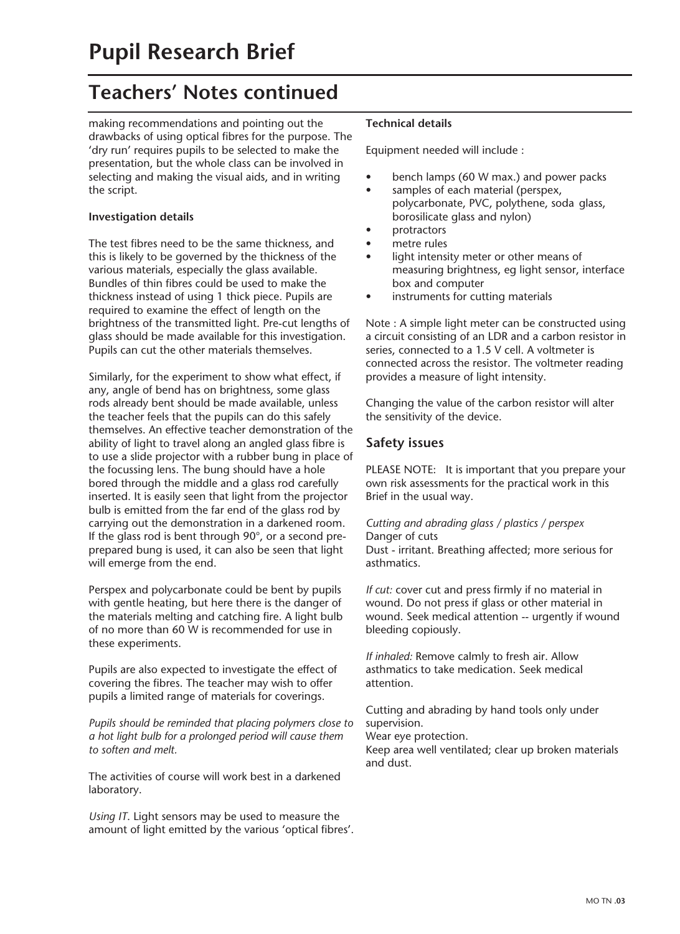# **Teachers' Notes continued**

making recommendations and pointing out the drawbacks of using optical fibres for the purpose. The 'dry run' requires pupils to be selected to make the presentation, but the whole class can be involved in selecting and making the visual aids, and in writing the script.

#### **Investigation details**

The test fibres need to be the same thickness, and this is likely to be governed by the thickness of the various materials, especially the glass available. Bundles of thin fibres could be used to make the thickness instead of using 1 thick piece. Pupils are required to examine the effect of length on the brightness of the transmitted light. Pre-cut lengths of glass should be made available for this investigation. Pupils can cut the other materials themselves.

Similarly, for the experiment to show what effect, if any, angle of bend has on brightness, some glass rods already bent should be made available, unless the teacher feels that the pupils can do this safely themselves. An effective teacher demonstration of the ability of light to travel along an angled glass fibre is to use a slide projector with a rubber bung in place of the focussing lens. The bung should have a hole bored through the middle and a glass rod carefully inserted. It is easily seen that light from the projector bulb is emitted from the far end of the glass rod by carrying out the demonstration in a darkened room. If the glass rod is bent through 90°, or a second preprepared bung is used, it can also be seen that light will emerge from the end.

Perspex and polycarbonate could be bent by pupils with gentle heating, but here there is the danger of the materials melting and catching fire. A light bulb of no more than 60 W is recommended for use in these experiments.

Pupils are also expected to investigate the effect of covering the fibres. The teacher may wish to offer pupils a limited range of materials for coverings.

*Pupils should be reminded that placing polymers close to a hot light bulb for a prolonged period will cause them to soften and melt.*

The activities of course will work best in a darkened laboratory.

*Using IT*. Light sensors may be used to measure the amount of light emitted by the various 'optical fibres'.

#### **Technical details**

Equipment needed will include :

- bench lamps (60 W max.) and power packs
- samples of each material (perspex, polycarbonate, PVC, polythene, soda glass, borosilicate glass and nylon)
- protractors
- metre rules
- light intensity meter or other means of measuring brightness, eg light sensor, interface box and computer
- instruments for cutting materials

Note : A simple light meter can be constructed using a circuit consisting of an LDR and a carbon resistor in series, connected to a 1.5 V cell. A voltmeter is connected across the resistor. The voltmeter reading provides a measure of light intensity.

Changing the value of the carbon resistor will alter the sensitivity of the device.

#### **Safety issues**

PLEASE NOTE: It is important that you prepare your own risk assessments for the practical work in this Brief in the usual way.

#### *Cutting and abrading glass / plastics / perspex* Danger of cuts

Dust - irritant. Breathing affected; more serious for asthmatics.

*If cut:* cover cut and press firmly if no material in wound. Do not press if glass or other material in wound. Seek medical attention -- urgently if wound bleeding copiously.

*If inhaled:* Remove calmly to fresh air. Allow asthmatics to take medication. Seek medical attention.

Cutting and abrading by hand tools only under supervision.

Wear eye protection.

Keep area well ventilated; clear up broken materials and dust.